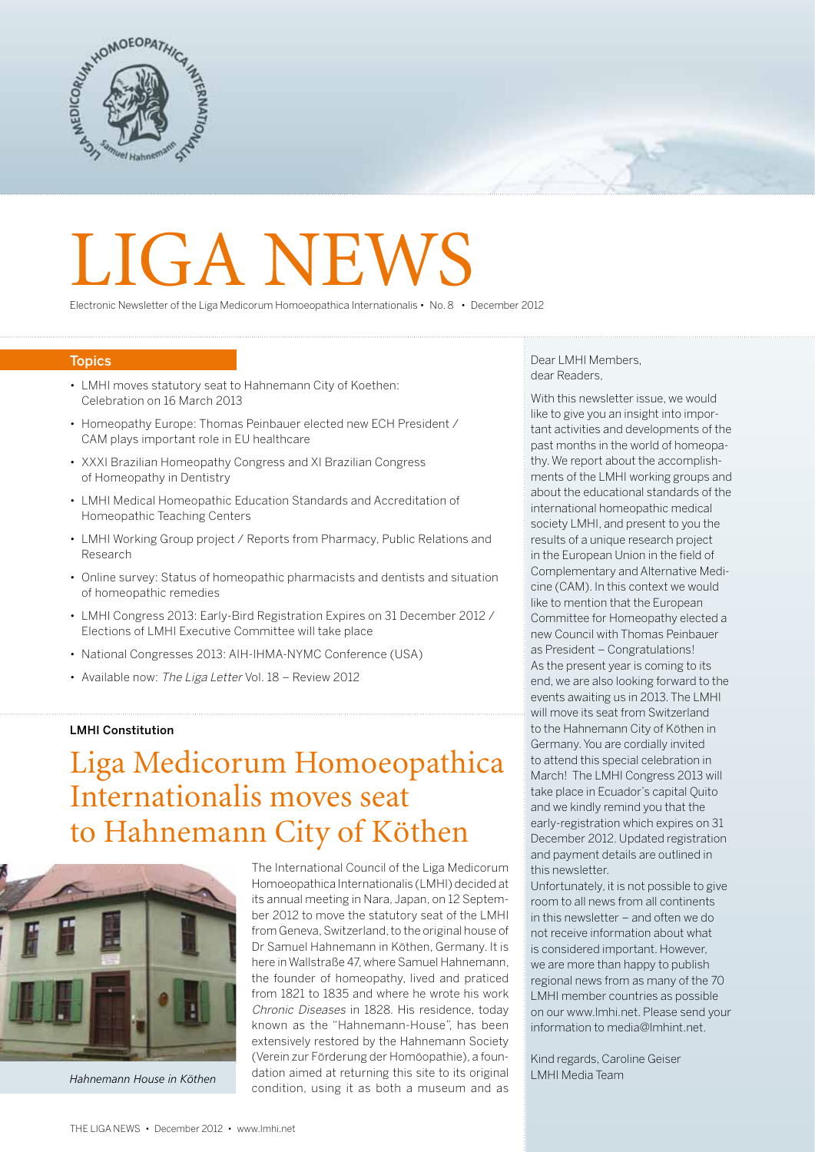

# LIGA NEW

Electronic Newsletter of the Liga Medicorum Homoeopathica Internationalis • No. 8 • December 2012

### **Topics**

- LMHI moves statutory seat to Hahnemann City of Koethen: Celebration on 16 March 2013
- Homeopathy Europe: Thomas Peinbauer elected new ECH President / CAM plays important role in EU healthcare
- XXXI Brazilian Homeopathy Congress and XI Brazilian Congress of Homeopathy in Dentistry
- LMHI Medical Homeopathic Education Standards and Accreditation of Homeopathic Teaching Centers
- LMHI Working Group project / Reports from Pharmacy, Public Relations and Research
- Online survey: Status of homeopathic pharmacists and dentists and situation of homeopathic remedies
- LMHI Congress 2013: Early-Bird Registration Expires on 31 December 2012 / Elections of LMHI Executive Committee will take place
- National Congresses 2013: AIH-IHMA-NYMC Conference (USA)
- Available now: The Liga Letter Vol. 18 Review 2012

### LMHI Constitution

# Liga Medicorum Homoeopathica Internationalis moves seat to Hahnemann City of Köthen



*Hahnemann House in Köthen*

The International Council of the Liga Medicorum Homoeopathica Internationalis (LMHI) decided at its annual meeting in Nara, Japan, on 12 September 2012 to move the statutory seat of the LMHI from Geneva, Switzerland, to the original house of Dr Samuel Hahnemann in Köthen, Germany. It is here in Wallstraße 47, where Samuel Hahnemann, the founder of homeopathy, lived and praticed from 1821 to 1835 and where he wrote his work Chronic Diseases in 1828. His residence, today known as the "Hahnemann-House", has been extensively restored by the Hahnemann Society (Verein zur Förderung der Homöopathie), a foundation aimed at returning this site to its original condition, using it as both a museum and as

Dear LMHI Members, dear Readers,

With this newsletter issue, we would like to give you an insight into important activities and developments of the past months in the world of homeopathy. We report about the accomplishments of the LMHI working groups and about the educational standards of the international homeopathic medical society LMHI, and present to you the results of a unique research project in the European Union in the field of Complementary and Alternative Medicine (CAM). In this context we would like to mention that the European Committee for Homeopathy elected a new Council with Thomas Peinbauer as President – Congratulations! As the present year is coming to its end, we are also looking forward to the events awaiting us in 2013. The LMHI will move its seat from Switzerland to the Hahnemann City of Köthen in Germany.You are cordially invited to attend this special celebration in March! The LMHI Congress 2013 will take place in Ecuador's capital Quito and we kindly remind you that the early-registration which expires on 31 December 2012. Updated registration and payment details are outlined in this newsletter.

Unfortunately, it is not possible to give room to all news from all continents in this newsletter – and often we do not receive information about what is considered important. However, we are more than happy to publish regional news from as many of the 70 LMHI member countries as possible on our www.lmhi.net. Please send your information to media@lmhint.net.

Kind regards, Caroline Geiser LMHI Media Team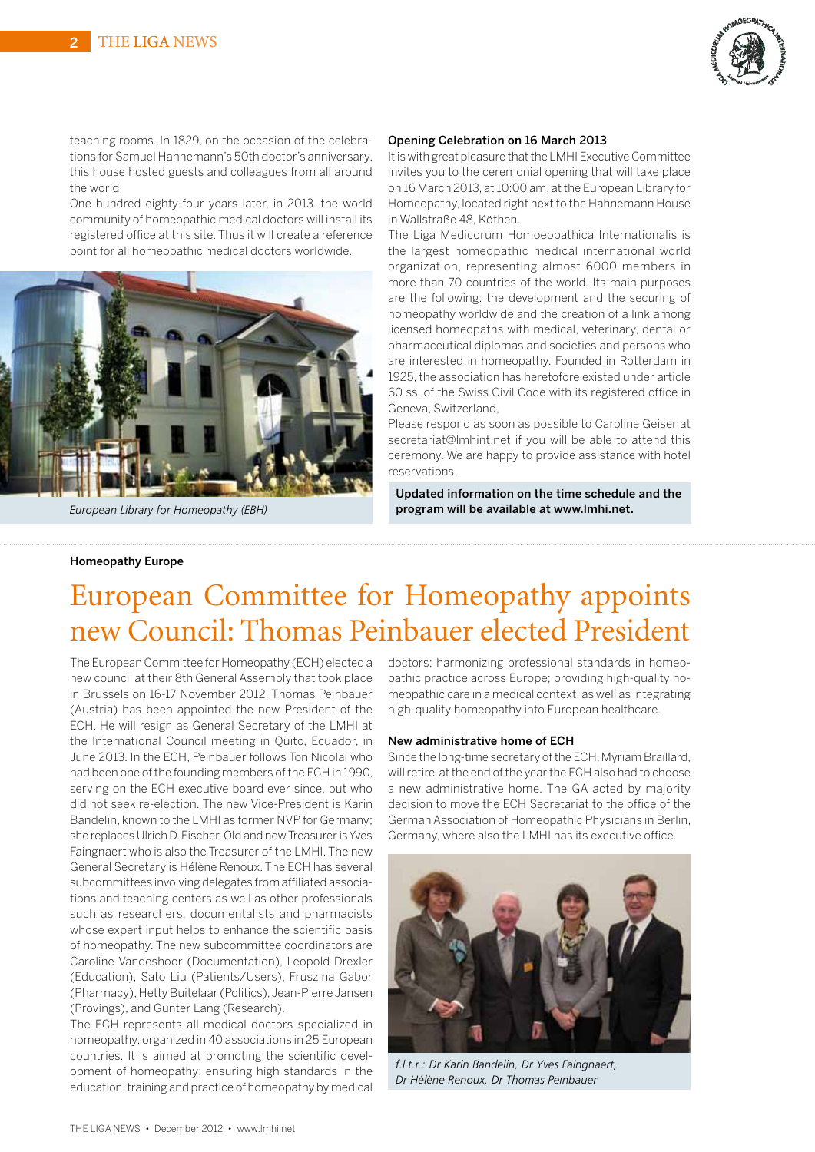

teaching rooms. In 1829, on the occasion of the celebrations for Samuel Hahnemann's 50th doctor's anniversary, this house hosted guests and colleagues from all around the world.

One hundred eighty-four years later, in 2013. the world community of homeopathic medical doctors will install its registered office at this site. Thus it will create a reference point for all homeopathic medical doctors worldwide.



*European Library for Homeopathy (EBH)*

### Opening Celebration on 16 March 2013

It is with great pleasure that the LMHI Executive Committee invites you to the ceremonial opening that will take place on 16 March 2013, at 10:00 am, at the European Library for Homeopathy, located right next to the Hahnemann House in Wallstraße 48, Köthen.

The Liga Medicorum Homoeopathica Internationalis is the largest homeopathic medical international world organization, representing almost 6000 members in more than 70 countries of the world. Its main purposes are the following: the development and the securing of homeopathy worldwide and the creation of a link among licensed homeopaths with medical, veterinary, dental or pharmaceutical diplomas and societies and persons who are interested in homeopathy. Founded in Rotterdam in 1925, the association has heretofore existed under article 60 ss. of the Swiss Civil Code with its registered office in Geneva, Switzerland,

Please respond as soon as possible to Caroline Geiser at secretariat@lmhint.net if you will be able to attend this ceremony. We are happy to provide assistance with hotel reservations.

Updated information on the time schedule and the program will be available at www.lmhi.net.

### Homeopathy Europe

# European Committee for Homeopathy appoints new Council: Thomas Peinbauer elected President

The EuropeanCommittee for Homeopathy (ECH) elected a new council at their 8th General Assembly that took place in Brussels on 16-17 November 2012. Thomas Peinbauer (Austria) has been appointed the new President of the ECH. He will resign as General Secretary of the LMHI at the International Council meeting in Quito, Ecuador, in June 2013. In the ECH, Peinbauer follows Ton Nicolai who had been one of the founding members of the ECH in 1990, serving on the ECH executive board ever since, but who did not seek re-election. The new Vice-President is Karin Bandelin, known to the LMHI as former NVP for Germany; she replaces Ulrich D. Fischer. Old and new Treasurer is Yves Faingnaert who is also the Treasurer of the LMHI. The new General Secretary is Hélène Renoux. The ECH has several subcommittees involving delegates from affiliated associations and teaching centers as well as other professionals such as researchers, documentalists and pharmacists whose expert input helps to enhance the scientific basis of homeopathy. The new subcommittee coordinators are Caroline Vandeshoor (Documentation), Leopold Drexler (Education), Sato Liu (Patients/Users), Fruszina Gabor (Pharmacy), Hetty Buitelaar(Politics), Jean-Pierre Jansen (Provings), and Günter Lang (Research).

The ECH represents all medical doctors specialized in homeopathy, organized in 40 associations in 25 European countries. It is aimed at promoting the scientific development of homeopathy; ensuring high standards in the education, training and practice of homeopathy by medical

doctors; harmonizing professional standards in homeopathic practice across Europe; providing high-quality homeopathic care in a medical context; as well as integrating high-quality homeopathy into European healthcare.

#### New administrative home of ECH

Since the long-time secretary of the ECH, Myriam Braillard, will retire at the end of the year the ECH also had to choose a new administrative home. The GA acted by majority decision to move the ECH Secretariat to the office of the German Association of Homeopathic Physicians in Berlin, Germany, where also the LMHI has its executive office.



*f.l.t.r.: Dr Karin Bandelin, Dr Yves Faingnaert, Dr Hélène Renoux, Dr Thomas Peinbauer*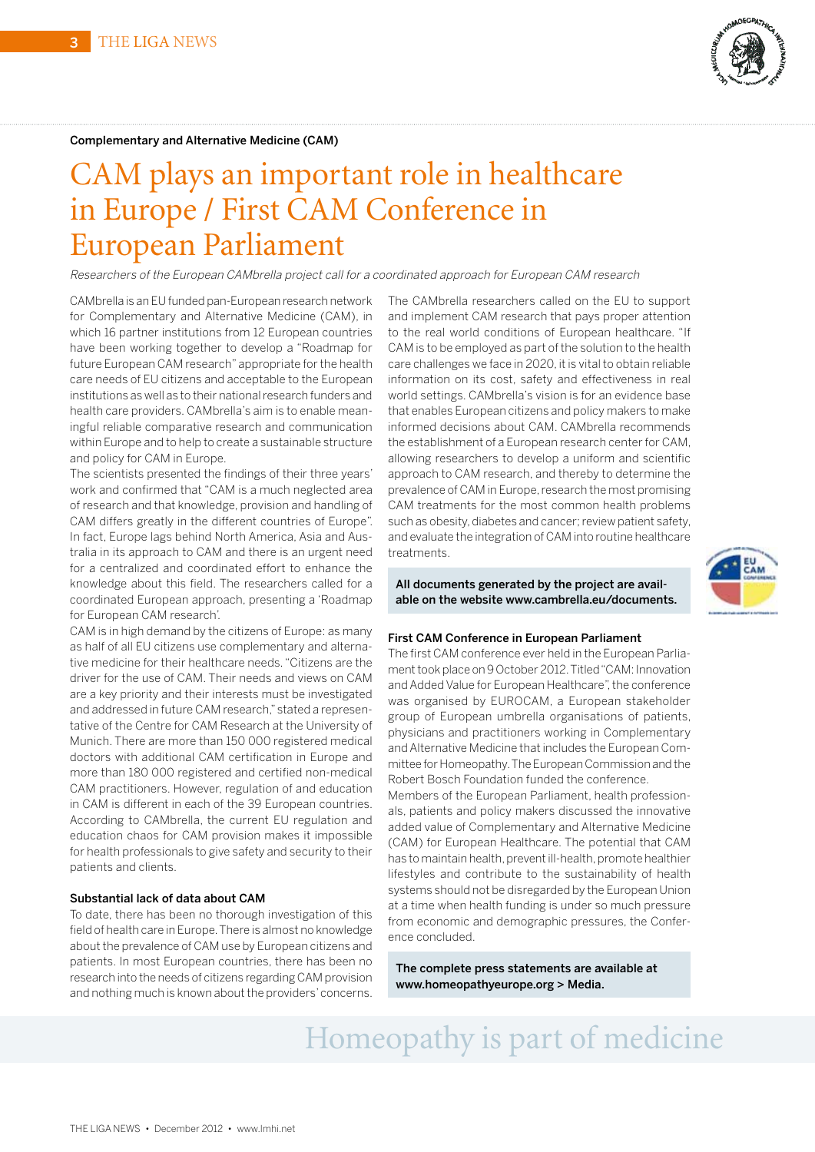

#### Complementary and Alternative Medicine (CAM)

# CAM plays an important role in healthcare in Europe / First CAM Conference in European Parliament

Researchers of the European CAMbrella project call for <sup>a</sup> coordinated approach for European CAM research

CAMbrella is an EU funded pan-European research network for Complementary and Alternative Medicine (CAM), in which 16 partner institutions from 12 European countries have been working together to develop a "Roadmap for future European CAM research" appropriate for the health care needs of EU citizens and acceptable to the European institutions as well as to their national research funders and health care providers. CAMbrella's aim is to enable meaningful reliable comparative research and communication within Europe and to help to create a sustainable structure and policy for CAM in Europe.

The scientists presented the findings of their three years' work and confirmed that "CAM is a much neglected area of research and that knowledge, provision and handling of CAM differs greatly in the different countries of Europe". In fact, Europe lags behind North America, Asia and Australia in its approach to CAM and there is an urgent need for a centralized and coordinated effort to enhance the knowledge about this field. The researchers called for a coordinated European approach, presenting a 'Roadmap for European CAM research'.

CAM is in high demand by the citizens of Europe: as many as half of all EU citizens use complementary and alternative medicine for their healthcare needs. "Citizens are the driver for the use of CAM. Their needs and views on CAM are a key priority and their interests must be investigated and addressed in future CAM research,"stated a representative of the Centre for CAM Research at the University of Munich. There are more than 150 000 registered medical doctors with additional CAM certification in Europe and more than 180 000 registered and certified non-medical CAM practitioners. However, regulation of and education in CAM is different in each of the 39 European countries. According to CAMbrella, the current EU regulation and education chaos for CAM provision makes it impossible for health professionals to give safety and security to their patients and clients.

#### Substantial lack of data about CAM

To date, there has been no thorough investigation of this field of health care in Europe.There is almost no knowledge about the prevalence of CAM use by European citizens and patients. In most European countries, there has been no research into the needs of citizens regardingCAM provision and nothing much is known about the providers'concerns.

The CAMbrella researchers called on the EU to support and implement CAM research that pays proper attention to the real world conditions of European healthcare. "If CAM is to be employed as part of the solution to the health care challenges we face in 2020, it is vital to obtain reliable information on its cost, safety and effectiveness in real world settings. CAMbrella's vision is for an evidence base that enables European citizens and policy makers to make informed decisions about CAM. CAMbrella recommends the establishment of a European research center for CAM, allowing researchers to develop a uniform and scientific approach to CAM research, and thereby to determine the prevalence of CAM in Europe, research the most promising CAM treatments for the most common health problems such as obesity, diabetes and cancer; review patient safety, and evaluate the integration ofCAM into routine healthcare treatments.

All documents generated by the project are available on the website www.cambrella.eu/documents.

### First CAM Conference in European Parliament

The first CAM conference ever held in the European Parliament took place on 9 October 2012. Titled "CAM: Innovation and Added Value for European Healthcare", the conference was organised by EUROCAM, a European stakeholder group of European umbrella organisations of patients, physicians and practitioners working in Complementary andAlternative Medicine that includes the European Committee for Homeopathy.TheEuropeanCommission and the Robert Bosch Foundation funded the conference.

Members of the European Parliament, health professionals, patients and policy makers discussed the innovative added value of Complementary and Alternative Medicine (CAM) for European Healthcare. The potential that CAM has to maintain health, prevent ill-health, promote healthier lifestyles and contribute to the sustainability of health systems should not be disregarded by the European Union at a time when health funding is under so much pressure from economic and demographic pressures, the Conference concluded.

The complete press statements are available at www.homeopathyeurope.org > Media.

# Homeopathy is part of medicine

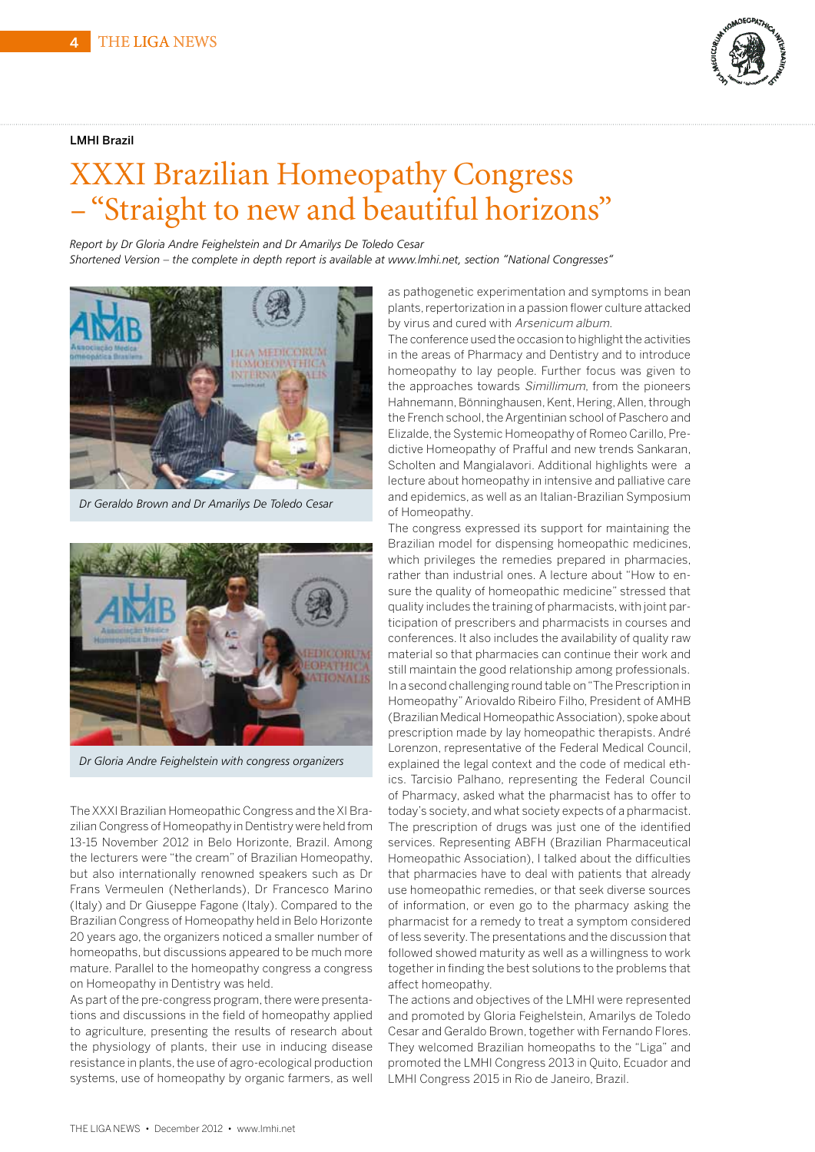### LMHI Brazil



# XXXI Brazilian Homeopathy Congress – "Straight to new and beautiful horizons"

*Report by Dr Gloria Andre Feighelstein and Dr Amarilys De Toledo Cesar* 

*Shortened Version – the complete in depth report is available at www.lmhi.net, section "National Congresses"*



*Dr Geraldo Brown and Dr Amarilys De Toledo Cesar* 



*Dr Gloria Andre Feighelstein with congress organizers*

TheXXXI Brazilian Homeopathic Congress and theXI Brazilian Congress of Homeopathy in Dentistry were held from 13-15 November 2012 in Belo Horizonte, Brazil. Among the lecturers were "the cream" of Brazilian Homeopathy, but also internationally renowned speakers such as Dr Frans Vermeulen (Netherlands), Dr Francesco Marino (Italy) and Dr Giuseppe Fagone (Italy). Compared to the Brazilian Congress of Homeopathy held in Belo Horizonte 20 years ago, the organizers noticed a smaller number of homeopaths, but discussions appeared to be much more mature. Parallel to the homeopathy congress a congress on Homeopathy in Dentistry was held.

As part of the pre-congress program, there were presentations and discussions in the field of homeopathy applied to agriculture, presenting the results of research about the physiology of plants, their use in inducing disease resistance in plants, the use of agro-ecological production systems, use of homeopathy by organic farmers, as well

as pathogenetic experimentation and symptoms in bean plants,repertorization in a passion flower culture attacked by virus and cured with Arsenicum album.

The conference used the occasion to highlight the activities in the areas of Pharmacy and Dentistry and to introduce homeopathy to lay people. Further focus was given to the approaches towards Simillimum, from the pioneers Hahnemann, Bönninghausen, Kent, Hering, Allen, through the French school, the Argentinian school of Paschero and Elizalde, the Systemic Homeopathy of Romeo Carillo, Predictive Homeopathy of Prafful and new trends Sankaran, Scholten and Mangialavori. Additional highlights were a lecture about homeopathy in intensive and palliative care and epidemics, as well as an Italian-Brazilian Symposium of Homeopathy.

The congress expressed its support for maintaining the Brazilian model for dispensing homeopathic medicines, which privileges the remedies prepared in pharmacies, rather than industrial ones. A lecture about "How to ensure the quality of homeopathic medicine" stressed that quality includes the training of pharmacists, with joint participation of prescribers and pharmacists in courses and conferences. It also includes the availability of quality raw material so that pharmacies can continue their work and still maintain the good relationship among professionals. In a second challenging round table on"The Prescription in Homeopathy"Ariovaldo Ribeiro Filho, President of AMHB (Brazilian Medical HomeopathicAssociation), spoke about prescription made by lay homeopathic therapists. André Lorenzon, representative of the Federal Medical Council, explained the legal context and the code of medical ethics. Tarcisio Palhano, representing the Federal Council of Pharmacy, asked what the pharmacist has to offer to today's society, and what society expects of a pharmacist. The prescription of drugs was just one of the identified services. Representing ABFH (Brazilian Pharmaceutical Homeopathic Association), I talked about the difficulties that pharmacies have to deal with patients that already use homeopathic remedies, or that seek diverse sources of information, or even go to the pharmacy asking the pharmacist for a remedy to treat a symptom considered of less severity.The presentations and the discussion that followed showed maturity as well as a willingness to work together in finding the best solutions to the problems that affect homeopathy.

The actions and objectives of the LMHI were represented and promoted by Gloria Feighelstein, Amarilys de Toledo Cesar and Geraldo Brown, together with Fernando Flores. They welcomed Brazilian homeopaths to the "Liga" and promoted the LMHI Congress 2013 in Quito, Ecuador and LMHI Congress 2015 in Rio de Janeiro, Brazil.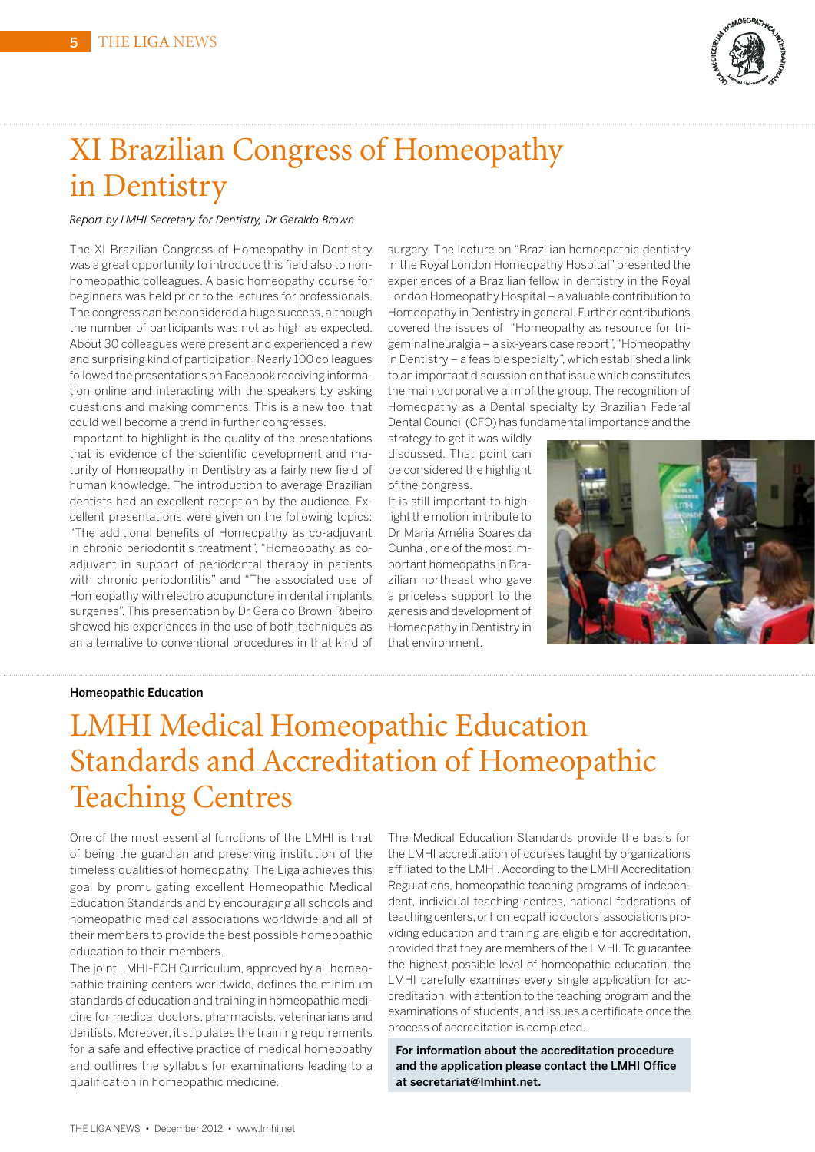

# XI Brazilian Congress of Homeopathy in Dentistry

### *Report by LMHI Secretary for Dentistry, Dr Geraldo Brown*

The XI Brazilian Congress of Homeopathy in Dentistry was a great opportunity to introduce this field also to nonhomeopathic colleagues. A basic homeopathy course for beginners was held prior to the lectures for professionals. The congress can be considered a huge success, although the number of participants was not as high as expected. About 30 colleagues were present and experienced a new and surprising kind of participation: Nearly 100 colleagues followed the presentations on Facebook receiving information online and interacting with the speakers by asking questions and making comments. This is a new tool that could well become a trend in further congresses.

Important to highlight is the quality of the presentations that is evidence of the scientific development and maturity of Homeopathy in Dentistry as a fairly new field of human knowledge. The introduction to average Brazilian dentists had an excellent reception by the audience. Excellent presentations were given on the following topics: "The additional benefits of Homeopathy as co-adjuvant in chronic periodontitis treatment", "Homeopathy as coadjuvant in support of periodontal therapy in patients with chronic periodontitis" and "The associated use of Homeopathy with electro acupuncture in dental implants surgeries". This presentation by Dr Geraldo Brown Ribeiro showed his experiences in the use of both techniques as an alternative to conventional procedures in that kind of

surgery. The lecture on "Brazilian homeopathic dentistry in the Royal London Homeopathy Hospital" presented the experiences of a Brazilian fellow in dentistry in the Royal London Homeopathy Hospital – a valuable contribution to Homeopathy in Dentistry in general. Further contributions covered the issues of "Homeopathy as resource for trigeminal neuralgia – a six-years case report","Homeopathy in Dentistry – a feasible specialty", which established a link to an important discussion on that issue which constitutes the main corporative aim of the group. The recognition of Homeopathy as a Dental specialty by Brazilian Federal DentalCouncil(CFO) has fundamental importance and the

strategy to get it was wildly discussed. That point can be considered the highlight of the congress.

It is still important to highlight the motion in tribute to Dr Maria Amélia Soares da Cunha , one of the most important homeopaths in Brazilian northeast who gave a priceless support to the genesis and development of Homeopathy in Dentistry in that environment.



#### Homeopathic Education

# LMHI Medical Homeopathic Education Standards and Accreditation of Homeopathic Teaching Centres

One of the most essential functions of the LMHI is that of being the guardian and preserving institution of the timeless qualities of homeopathy. The Liga achieves this goal by promulgating excellent Homeopathic Medical Education Standards and by encouraging all schools and homeopathic medical associations worldwide and all of their members to provide the best possible homeopathic education to their members.

The joint LMHI-ECH Curriculum, approved by all homeopathic training centers worldwide, defines the minimum standards of education and training in homeopathic medicine for medical doctors, pharmacists, veterinarians and dentists. Moreover, it stipulates the training requirements for a safe and effective practice of medical homeopathy and outlines the syllabus for examinations leading to a qualification in homeopathic medicine.

The Medical Education Standards provide the basis for the LMHI accreditation of courses taught by organizations affiliated to the LMHI. According to the LMHI Accreditation Regulations, homeopathic teaching programs of independent, individual teaching centres, national federations of teaching centers, or homeopathic doctors' associations providing education and training are eligible for accreditation, provided that they are members of the LMHI. To guarantee the highest possible level of homeopathic education, the LMHI carefully examines every single application for accreditation, with attention to the teaching program and the examinations of students, and issues a certificate once the process of accreditation is completed.

For information about the accreditation procedure and the application please contact the LMHI Office at secretariat@lmhint.net.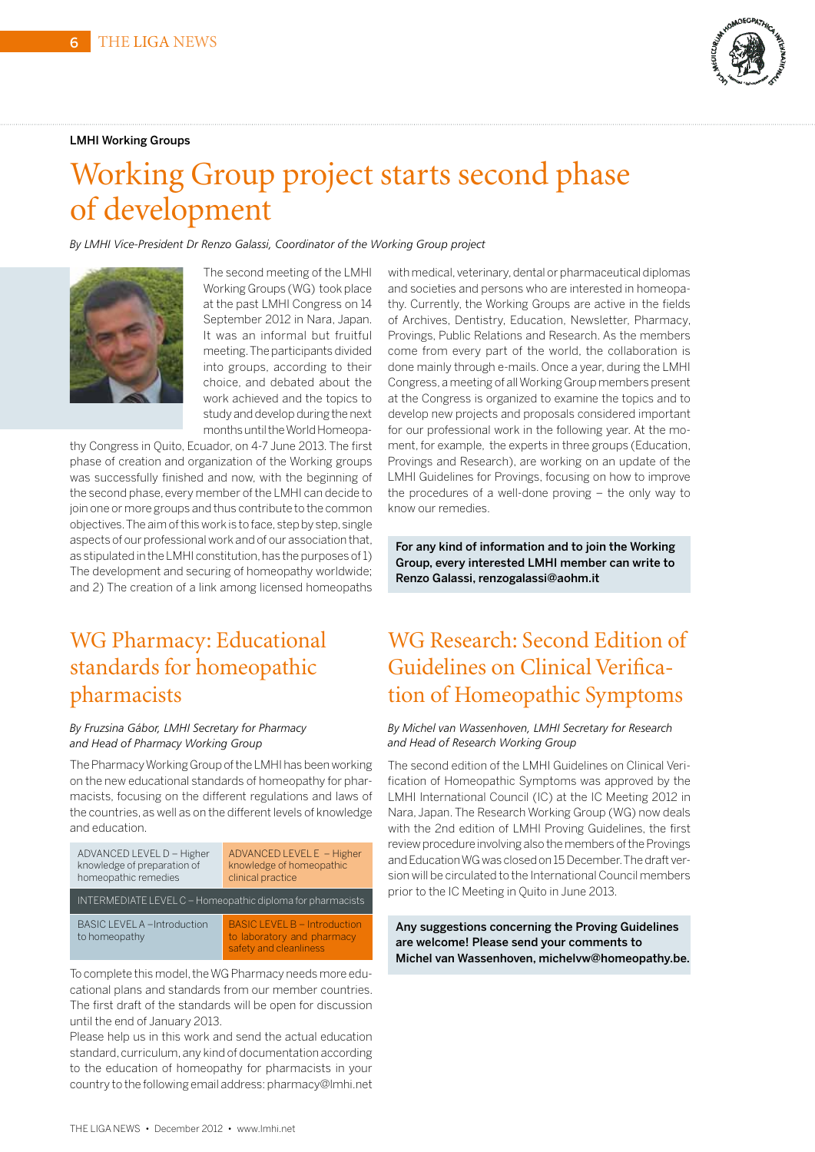### LMHI Working Groups



# Working Group project starts second phase of development

*By LMHI Vice-President Dr Renzo Galassi, Coordinator of the Working Group project*



The second meeting of the LMHI Working Groups (WG) took place at the past LMHI Congress on 14 September 2012 in Nara, Japan. It was an informal but fruitful meeting.The participants divided into groups, according to their choice, and debated about the work achieved and the topics to study and develop during the next months until the World Homeopa-

thy Congress in Quito, Ecuador, on 4-7 June 2013. The first phase of creation and organization of the Working groups was successfully finished and now, with the beginning of the second phase, every member of the LMHI can decide to join one or more groups and thus contribute to the common objectives. The aim of this work is to face, step by step, single aspects of our professional work and of our association that, as stipulated in the LMHI constitution, has the purposes of 1) The development and securing of homeopathy worldwide; and 2) The creation of a link among licensed homeopaths

### WG Pharmacy: Educational standards for homeopathic pharmacists

### *By Fruzsina Gábor, LMHI Secretary for Pharmacy and Head of Pharmacy Working Group*

The Pharmacy Working Group of the LMHI has been working on the new educational standards of homeopathy for pharmacists, focusing on the different regulations and laws of the countries, as well as on the different levels of knowledge and education.



To complete this model, the WG Pharmacy needs more educational plans and standards from our member countries. The first draft of the standards will be open for discussion until the end of January 2013.

Please help us in this work and send the actual education standard, curriculum, any kind of documentation according to the education of homeopathy for pharmacists in your country to the following email address: pharmacy@lmhi.net

with medical, veterinary, dental or pharmaceutical diplomas and societies and persons who are interested in homeopathy. Currently, the Working Groups are active in the fields of Archives, Dentistry, Education, Newsletter, Pharmacy, Provings, Public Relations and Research. As the members come from every part of the world, the collaboration is done mainly through e-mails. Once a year, during the LMHI Congress,a meeting of allWorking Group members present at the Congress is organized to examine the topics and to develop new projects and proposals considered important for our professional work in the following year. At the moment, for example, the experts in three groups (Education, Provings and Research), are working on an update of the LMHI Guidelines for Provings, focusing on how to improve the procedures of a well-done proving – the only way to know our remedies.

For any kind of information and to join the Working Group, every interested LMHI member can write to Renzo Galassi, renzogalassi@aohm.it

### WG Research: Second Edition of Guidelines on Clinical Verification of Homeopathic Symptoms

### *By Michel van Wassenhoven, LMHI Secretary for Research and Head of Research Working Group*

The second edition of the LMHI Guidelines on Clinical Verification of Homeopathic Symptoms was approved by the LMHI International Council (IC) at the IC Meeting 2012 in Nara, Japan. The Research Working Group (WG) now deals with the 2nd edition of LMHI Proving Guidelines, the first review procedure involving also the members of the Provings andEducationWGwas closedon15December.Thedraft version will be circulated to the International Council members prior to the IC Meeting in Quito in June 2013.

Any suggestions concerning the Proving Guidelines are welcome! Please send your comments to Michel van Wassenhoven, michelvw@homeopathy.be.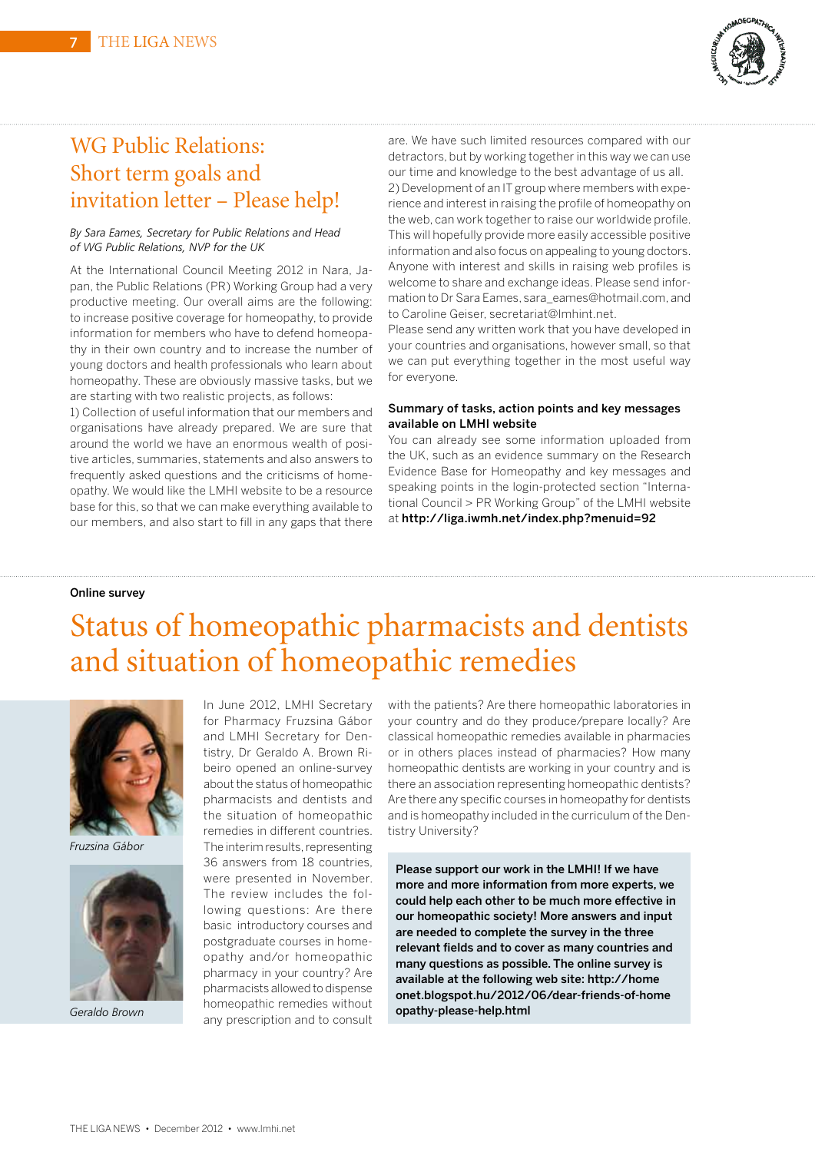

### WG Public Relations: Short term goals and invitation letter – Please help!

#### *By Sara Eames, Secretary for Public Relations and Head of WG Public Relations, NVP for the UK*

At the International Council Meeting 2012 in Nara, Japan, the Public Relations (PR) Working Group had a very productive meeting. Our overall aims are the following: to increase positive coverage for homeopathy, to provide information for members who have to defend homeopathy in their own country and to increase the number of young doctors and health professionals who learn about homeopathy. These are obviously massive tasks, but we are starting with two realistic projects, as follows:

1) Collection of useful information that our members and organisations have already prepared. We are sure that around the world we have an enormous wealth of positive articles, summaries, statements and also answers to frequently asked questions and the criticisms of homeopathy. We would like the LMHI website to be a resource base for this, so that we can make everything available to our members, and also start to fill in any gaps that there are. We have such limited resources compared with our detractors, but by working together in this way we can use our time and knowledge to the best advantage of us all. 2) Development of an IT group where members with experience and interest in raising the profile of homeopathy on the web, can work together to raise our worldwide profile. This will hopefully provide more easily accessible positive information and also focus on appealing to young doctors. Anyone with interest and skills in raising web profiles is welcome to share and exchange ideas. Please send information to Dr Sara Eames, sara\_eames@hotmail.com, and to Caroline Geiser, secretariat@lmhint.net.

Please send any written work that you have developed in your countries and organisations, however small, so that we can put everything together in the most useful way for everyone.

### Summary of tasks, action points and key messages available on LMHI website

You can already see some information uploaded from the UK, such as an evidence summary on the Research Evidence Base for Homeopathy and key messages and speaking points in the login-protected section "International Council > PR Working Group" of the LMHI website at http://liga.iwmh.net/index.php?menuid=92

### Online survey

# Status of homeopathic pharmacists and dentists and situation of homeopathic remedies



*Fruzsina Gábor*



In June 2012, LMHI Secretary for Pharmacy Fruzsina Gábor and LMHI Secretary for Dentistry, Dr Geraldo A. Brown Ribeiro opened an online-survey about the status of homeopathic pharmacists and dentists and the situation of homeopathic remedies in different countries. The interim results, representing 36 answers from 18 countries, were presented in November. The review includes the following questions: Are there basic introductory courses and postgraduate courses in homeopathy and/or homeopathic pharmacy in your country? Are pharmacists allowed to dispense homeopathic remedies without any prescription and to consult *Geraldo Brown*

with the patients? Are there homeopathic laboratories in your country and do they produce/prepare locally? Are classical homeopathic remedies available in pharmacies or in others places instead of pharmacies? How many homeopathic dentists are working in your country and is there an association representing homeopathic dentists? Are there any specific courses in homeopathy for dentists and is homeopathy included in the curriculum of the Dentistry University?

Please support our work in the LMHI! If we have more and more information from more experts, we could help each other to be much more effective in our homeopathic society! More answers and input are needed to complete the survey in the three relevant fields and to cover as many countries and many questions as possible. The online survey is available at the following web site: http://home onet.blogspot.hu/2012/06/dear-friends-of-home opathy-please-help.html